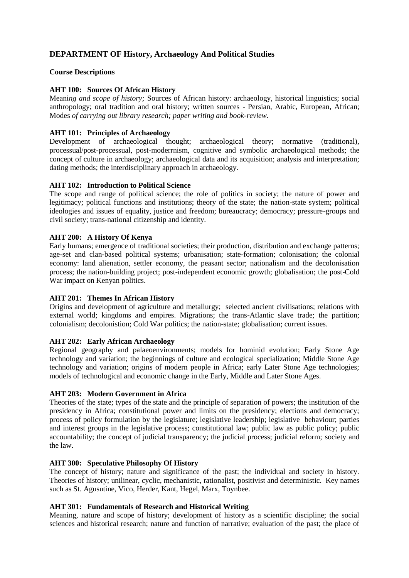# **DEPARTMENT OF History, Archaeology And Political Studies**

### **Course Descriptions**

### **AHT 100: Sources Of African History**

Meani*ng and scope of history;* Sources of African history: archaeology, historical linguistics; social anthropology; oral tradition and oral history; written sources - Persian, Arabic, European, African; Modes *of carrying out library research; paper writing and book-review.*

## **AHT 101: Principles of Archaeology**

Development of archaeological thought; archaeological theory; normative (traditional), processual/post-processual, post-moderrnism, cognitive and symbolic archaeological methods; the concept of culture in archaeology; archaeological data and its acquisition; analysis and interpretation; dating methods; the interdisciplinary approach in archaeology.

### **AHT 102: Introduction to Political Science**

The scope and range of political science; the role of politics in society; the nature of power and legitimacy; political functions and institutions; theory of the state; the nation-state system; political ideologies and issues of equality, justice and freedom; bureaucracy; democracy; pressure-groups and civil society; trans-national citizenship and identity.

### **AHT 200: A History Of Kenya**

Early humans; emergence of traditional societies; their production, distribution and exchange patterns; age-set and clan-based political systems; urbanisation; state-formation; colonisation; the colonial economy: land alienation, settler economy, the peasant sector; nationalism and the decolonisation process; the nation-building project; post-independent economic growth; globalisation; the post-Cold War impact on Kenyan politics.

#### **AHT 201: Themes In African History**

Origins and development of agriculture and metallurgy; selected ancient civilisations; relations with external world; kingdoms and empires. Migrations; the trans-Atlantic slave trade; the partition; colonialism; decolonistion; Cold War politics; the nation-state; globalisation; current issues.

#### **AHT 202: Early African Archaeology**

Regional geography and palaeoenvironments; models for hominid evolution; Early Stone Age technology and variation; the beginnings of culture and ecological specialization; Middle Stone Age technology and variation; origins of modern people in Africa; early Later Stone Age technologies; models of technological and economic change in the Early, Middle and Later Stone Ages.

### **AHT 203: Modern Government in Africa**

Theories of the state; types of the state and the principle of separation of powers; the institution of the presidency in Africa; constitutional power and limits on the presidency; elections and democracy; process of policy formulation by the legislature; legislative leadership; legislative behaviour; parties and interest groups in the legislative process; constitutional law; public law as public policy; public accountability; the concept of judicial transparency; the judicial process; judicial reform; society and the law.

### **AHT 300: Speculative Philosophy Of History**

The concept of history; nature and significance of the past; the individual and society in history. Theories of history; unilinear, cyclic, mechanistic, rationalist, positivist and deterministic. Key names such as St. Agusutine, Vico, Herder, Kant, Hegel, Marx, Toynbee.

#### **AHT 301: Fundamentals of Research and Historical Writing**

Meaning, nature and scope of history; development of history as a scientific discipline; the social sciences and historical research; nature and function of narrative; evaluation of the past; the place of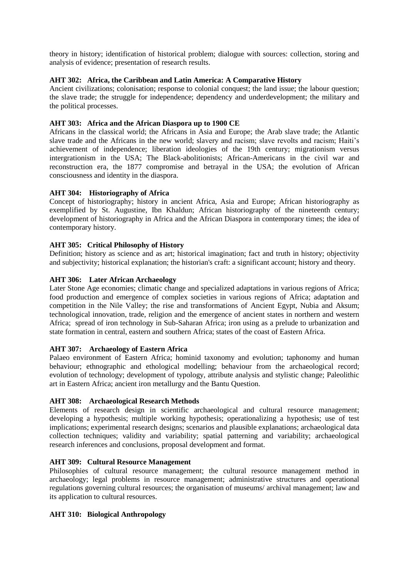theory in history; identification of historical problem; dialogue with sources: collection, storing and analysis of evidence; presentation of research results.

### **AHT 302: Africa, the Caribbean and Latin America: A Comparative History**

Ancient civilizations; colonisation; response to colonial conquest; the land issue; the labour question; the slave trade; the struggle for independence; dependency and underdevelopment; the military and the political processes.

### **AHT 303: Africa and the African Diaspora up to 1900 CE**

Africans in the classical world; the Africans in Asia and Europe; the Arab slave trade; the Atlantic slave trade and the Africans in the new world; slavery and racism; slave revolts and racism; Haiti's achievement of independence; liberation ideologies of the 19th century; migrationism versus intergrationism in the USA; The Black-abolitionists; African-Americans in the civil war and reconstruction era, the 1877 compromise and betrayal in the USA; the evolution of African consciousness and identity in the diaspora.

### **AHT 304: Historiography of Africa**

Concept of historiography; history in ancient Africa, Asia and Europe; African historiography as exemplified by St. Augustine, Ibn Khaldun; African historiography of the nineteenth century; development of historiography in Africa and the African Diaspora in contemporary times; the idea of contemporary history.

### **AHT 305: Critical Philosophy of History**

Definition; history as science and as art; historical imagination; fact and truth in history; objectivity and subjectivity; historical explanation; the historian's craft: a significant account; history and theory.

### **AHT 306: Later African Archaeology**

Later Stone Age economies; climatic change and specialized adaptations in various regions of Africa; food production and emergence of complex societies in various regions of Africa; adaptation and competition in the Nile Valley; the rise and transformations of Ancient Egypt, Nubia and Aksum; technological innovation, trade, religion and the emergence of ancient states in northern and western Africa; spread of iron technology in Sub-Saharan Africa; iron using as a prelude to urbanization and state formation in central, eastern and southern Africa; states of the coast of Eastern Africa.

#### **AHT 307: Archaeology of Eastern Africa**

Palaeo environment of Eastern Africa; hominid taxonomy and evolution; taphonomy and human behaviour; ethnographic and ethological modelling; behaviour from the archaeological record; evolution of technology; development of typology, attribute analysis and stylistic change; Paleolithic art in Eastern Africa; ancient iron metallurgy and the Bantu Question.

#### **AHT 308: Archaeological Research Methods**

Elements of research design in scientific archaeological and cultural resource management; developing a hypothesis; multiple working hypothesis; operationalizing a hypothesis; use of test implications; experimental research designs; scenarios and plausible explanations; archaeological data collection techniques; validity and variability; spatial patterning and variability; archaeological research inferences and conclusions, proposal development and format.

#### **AHT 309: Cultural Resource Management**

Philosophies of cultural resource management; the cultural resource management method in archaeology; legal problems in resource management; administrative structures and operational regulations governing cultural resources; the organisation of museums/ archival management; law and its application to cultural resources.

#### **AHT 310: Biological Anthropology**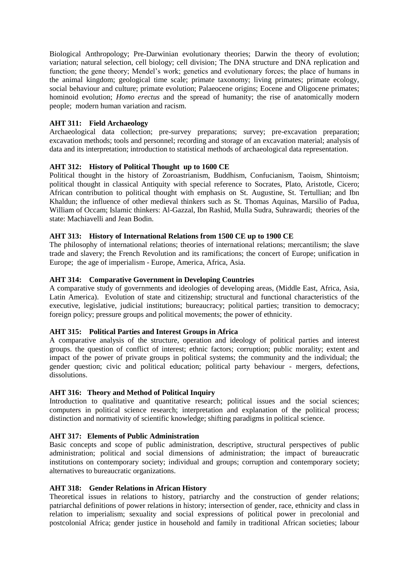Biological Anthropology; Pre-Darwinian evolutionary theories; Darwin the theory of evolution; variation; natural selection, cell biology; cell division; The DNA structure and DNA replication and function; the gene theory; Mendel's work; genetics and evolutionary forces; the place of humans in the animal kingdom; geological time scale; primate taxonomy; living primates; primate ecology, social behaviour and culture; primate evolution; Palaeocene origins; Eocene and Oligocene primates; hominoid evolution; *Homo erectus* and the spread of humanity; the rise of anatomically modern people; modern human variation and racism.

### **AHT 311: Field Archaeology**

Archaeological data collection; pre-survey preparations; survey; pre-excavation preparation; excavation methods; tools and personnel; recording and storage of an excavation material; analysis of data and its interpretation; introduction to statistical methods of archaeological data representation.

### **AHT 312: History of Political Thought up to 1600 CE**

Political thought in the history of Zoroastrianism, Buddhism, Confucianism, Taoism, Shintoism; political thought in classical Antiquity with special reference to Socrates, Plato, Aristotle, Cicero; African contribution to political thought with emphasis on St. Augustine, St. Tertullian; and Ibn Khaldun; the influence of other medieval thinkers such as St. Thomas Aquinas, Marsilio of Padua, William of Occam; Islamic thinkers: Al-Gazzal, Ibn Rashid, Mulla Sudra, Suhrawardi; theories of the state: Machiavelli and Jean Bodin.

#### **AHT 313: History of International Relations from 1500 CE up to 1900 CE**

The philosophy of international relations; theories of international relations; mercantilism; the slave trade and slavery; the French Revolution and its ramifications; the concert of Europe; unification in Europe; the age of imperialism - Europe, America, Africa, Asia.

### **AHT 314: Comparative Government in Developing Countries**

A comparative study of governments and ideologies of developing areas, (Middle East, Africa, Asia, Latin America). Evolution of state and citizenship; structural and functional characteristics of the executive, legislative, judicial institutions; bureaucracy; political parties; transition to democracy; foreign policy; pressure groups and political movements; the power of ethnicity.

#### **AHT 315: Political Parties and Interest Groups in Africa**

A comparative analysis of the structure, operation and ideology of political parties and interest groups. the question of conflict of interest; ethnic factors; corruption; public morality; extent and impact of the power of private groups in political systems; the community and the individual; the gender question; civic and political education; political party behaviour - mergers, defections, dissolutions.

#### **AHT 316: Theory and Method of Political Inquiry**

Introduction to qualitative and quantitative research; political issues and the social sciences; computers in political science research; interpretation and explanation of the political process; distinction and normativity of scientific knowledge; shifting paradigms in political science.

#### **AHT 317: Elements of Public Administration**

Basic concepts and scope of public administration, descriptive, structural perspectives of public administration; political and social dimensions of administration; the impact of bureaucratic institutions on contemporary society; individual and groups; corruption and contemporary society; alternatives to bureaucratic organizations.

#### **AHT 318: Gender Relations in African History**

Theoretical issues in relations to history, patriarchy and the construction of gender relations; patriarchal definitions of power relations in history; intersection of gender, race, ethnicity and class in relation to imperialism; sexuality and social expressions of political power in precolonial and postcolonial Africa; gender justice in household and family in traditional African societies; labour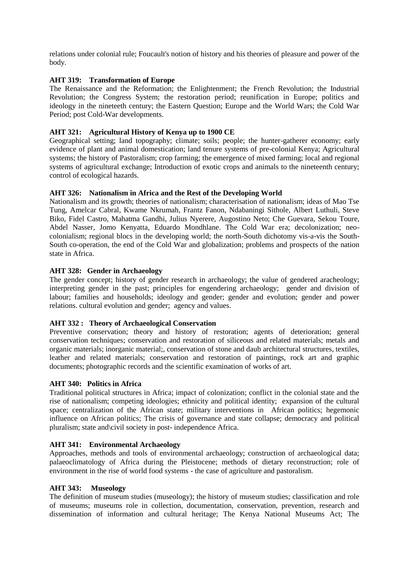relations under colonial rule; Foucault's notion of history and his theories of pleasure and power of the body.

### **AHT 319: Transformation of Europe**

The Renaissance and the Reformation; the Enlightenment; the French Revolution; the Industrial Revolution; the Congress System; the restoration period; reunification in Europe; politics and ideology in the nineteeth century; the Eastern Question; Europe and the World Wars; the Cold War Period; post Cold-War developments.

### **AHT 321: Agricultural History of Kenya up to 1900 CE**

Geographical setting; land topography; climate; soils; people; the hunter-gatherer economy; early evidence of plant and animal domestication; land tenure systems of pre-colonial Kenya; Agricultural systems; the history of Pastoralism; crop farming; the emergence of mixed farming; local and regional systems of agricultural exchange; Introduction of exotic crops and animals to the nineteenth century; control of ecological hazards.

#### **AHT 326: Nationalism in Africa and the Rest of the Developing World**

Nationalism and its growth; theories of nationalism; characterisation of nationalism; ideas of Mao Tse Tung, Amelcar Cabral, Kwame Nkrumah, Frantz Fanon, Ndabaningi Sithole, Albert Luthuli, Steve Biko, Fidel Castro, Mahatma Gandhi, Julius Nyerere, Augostino Neto; Che Guevara, Sekou Toure, Abdel Nasser, Jomo Kenyatta, Eduardo Mondhlane. The Cold War era; decolonization; neocolonialism; regional blocs in the developing world; the north-South dichotomy vis-a-vis the South-South co-operation, the end of the Cold War and globalization; problems and prospects of the nation state in Africa.

### **AHT 328: Gender in Archaeology**

The gender concept; history of gender research in archaeology; the value of gendered aracheology; interpreting gender in the past; principles for engendering archaeology; gender and division of labour; families and households; ideology and gender; gender and evolution; gender and power relations. cultural evolution and gender; agency and values.

#### **AHT 332 : Theory of Archaeological Conservation**

Preventive conservation; theory and history of restoration; agents of deterioration; general conservation techniques; conservation and restoration of siliceous and related materials; metals and organic materials; inorganic material;, conservation of stone and daub architectural structures, textiles, leather and related materials; conservation and restoration of paintings, rock art and graphic documents; photographic records and the scientific examination of works of art.

#### **AHT 340: Politics in Africa**

Traditional political structures in Africa; impact of colonization; conflict in the colonial state and the rise of nationalism; competing ideologies; ethnicity and political identity; expansion of the cultural space; centralization of the African state; military interventions in African politics; hegemonic influence on African politics; The crisis of governance and state collapse; democracy and political pluralism; state and\civil society in post- independence Africa.

#### **AHT 341: Environmental Archaeology**

Approaches, methods and tools of environmental archaeology; construction of archaeological data; palaeoclimatology of Africa during the Pleistocene; methods of dietary reconstruction; role of environment in the rise of world food systems - the case of agriculture and pastoralism.

### **AHT 343: Museology**

The definition of museum studies (museology); the history of museum studies; classification and role of museums; museums role in collection, documentation, conservation, prevention, research and dissemination of information and cultural heritage; The Kenya National Museums Act; The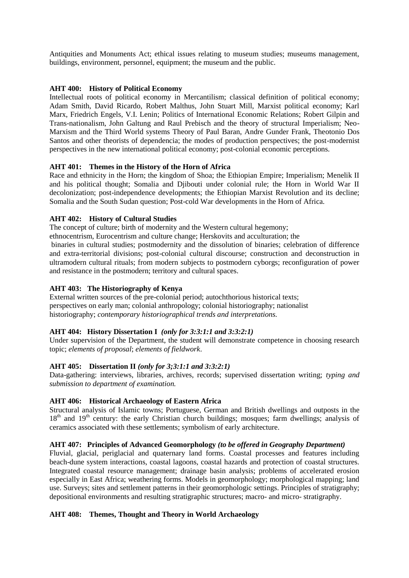Antiquities and Monuments Act; ethical issues relating to museum studies; museums management, buildings, environment, personnel, equipment; the museum and the public.

## **AHT 400: History of Political Economy**

Intellectual roots of political economy in Mercantilism; classical definition of political economy; Adam Smith, David Ricardo, Robert Malthus, John Stuart Mill, Marxist political economy; Karl Marx, Friedrich Engels, V.I. Lenin; Politics of International Economic Relations; Robert Gilpin and Trans-nationalism, John Galtung and Raul Prebisch and the theory of structural Imperialism; Neo-Marxism and the Third World systems Theory of Paul Baran, Andre Gunder Frank, Theotonio Dos Santos and other theorists of dependencia; the modes of production perspectives; the post-modernist perspectives in the new international political economy; post-colonial economic perceptions.

#### **AHT 401: Themes in the History of the Horn of Africa**

Race and ethnicity in the Horn; the kingdom of Shoa; the Ethiopian Empire; Imperialism; Menelik II and his political thought; Somalia and Djibouti under colonial rule; the Horn in World War II decolonization; post-independence developments; the Ethiopian Marxist Revolution and its decline; Somalia and the South Sudan question; Post-cold War developments in the Horn of Africa.

### **AHT 402: History of Cultural Studies**

The concept of culture; birth of modernity and the Western cultural hegemony;

ethnocentrism, Eurocentrism and culture change; Herskovits and acculturation; the

binaries in cultural studies; postmodernity and the dissolution of binaries; celebration of difference and extra-territorial divisions; post-colonial cultural discourse; construction and deconstruction in ultramodern cultural rituals; from modern subjects to postmodern cyborgs; reconfiguration of power and resistance in the postmodern; territory and cultural spaces.

### **AHT 403: The Historiography of Kenya**

External written sources of the pre-colonial period; autochthorious historical texts; perspectives on early man; colonial anthropology; colonial historiography; nationalist historiography; *contemporary historiographical trends and interpretations.*

## **AHT 404: History Dissertation I** *(only for 3:3:1:1 and 3:3:2:1)*

Under supervision of the Department, the student will demonstrate competence in choosing research topic; *elements of proposal*; *elements of fieldwork*.

#### **AHT 405: Dissertation II** *(only for 3;3:1:1 and 3:3:2:1)*

Data-gathering: interviews, libraries, archives, records; supervised dissertation writing; *typing and submission to department of examination.* 

### **AHT 406: Historical Archaeology of Eastern Africa**

Structural analysis of Islamic towns; Portuguese, German and British dwellings and outposts in the  $18<sup>th</sup>$  and  $19<sup>th</sup>$  century: the early Christian church buildings; mosques; farm dwellings; analysis of ceramics associated with these settlements; symbolism of early architecture.

#### **AHT 407: Principles of Advanced Geomorphology** *(to be offered in Geography Department)*

Fluvial, glacial, periglacial and quaternary land forms. Coastal processes and features including beach-dune system interactions, coastal lagoons, coastal hazards and protection of coastal structures. Integrated coastal resource management; drainage basin analysis; problems of accelerated erosion especially in East Africa; weathering forms. Models in geomorphology; morphological mapping; land use. Surveys; sites and settlement patterns in their geomorphologic settings. Principles of stratigraphy; depositional environments and resulting stratigraphic structures; macro- and micro- stratigraphy.

## **AHT 408: Themes, Thought and Theory in World Archaeology**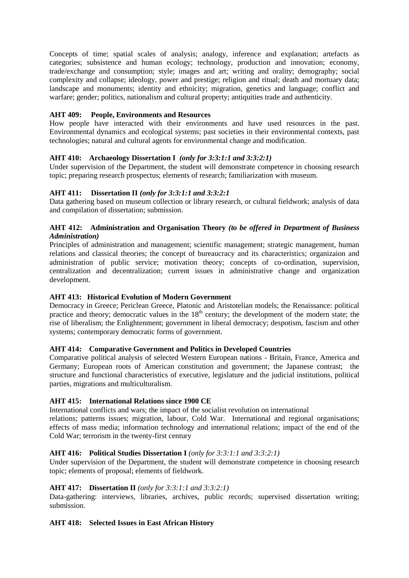Concepts of time; spatial scales of analysis; analogy, inference and explanation; artefacts as categories; subsistence and human ecology; technology, production and innovation; economy, trade/exchange and consumption; style; images and art; writing and orality; demography; social complexity and collapse; ideology, power and prestige; religion and ritual; death and mortuary data; landscape and monuments; identity and ethnicity; migration, genetics and language; conflict and warfare; gender; politics, nationalism and cultural property; antiquities trade and authenticity.

## **AHT 409: People, Environments and Resources**

How people have interacted with their environments and have used resources in the past. Environmental dynamics and ecological systems; past societies in their environmental contexts, past technologies; natural and cultural agents for environmental change and modification.

## **AHT 410: Archaeology Dissertation I** *(only for 3:3:1:1 and 3:3:2:1)*

Under supervision of the Department, the student will demonstrate competence in choosing research topic; preparing research prospectus; elements of research; familiarization with museum.

### **AHT 411: Dissertation II** *(only for 3:3:1:1 and 3:3:2:1*

Data gathering based on museum collection or library research, or cultural fieldwork; analysis of data and compilation of dissertation; submission.

### **AHT 412: Administration and Organisation Theory** *(to be offered in Department of Business Administration)*

Principles of administration and management; scientific management; strategic management, human relations and classical theories; the concept of bureaucracy and its characteristics; organizaion and administration of public service; motivation theory; concepts of co-ordination, supervision, centralization and decentralization; current issues in administrative change and organization development.

## **AHT 413: Historical Evolution of Modern Government**

Democracy in Greece; Periclean Greece, Platonic and Aristotelian models; the Renaissance: political practice and theory; democratic values in the  $18<sup>th</sup>$  century; the development of the modern state; the rise of liberalism; the Enlightenment; government in liberal democracy; despotism, fascism and other systems; contemporary democratic forms of government.

#### **AHT 414: Comparative Government and Politics in Developed Countries**

Comparative political analysis of selected Western European nations - Britain, France, America and Germany; European roots of American constitution and government; the Japanese contrast; the structure and functional characteristics of executive, legislature and the judicial institutions, political parties, migrations and multiculturalism.

## **AHT 415: International Relations since 1900 CE**

International conflicts and wars; the impact of the socialist revolution on international relations; patterns issues; migration, labour, Cold War. International and regional organisations; effects of mass media; information technology and international relations; impact of the end of the

#### Cold War; terrorism in the twenty-first century

## **AHT 416: Political Studies Dissertation I** *(only for 3:3:1:1 and 3:3:2:1)*

Under supervision of the Department, the student will demonstrate competence in choosing research topic; elements of proposal; elements of fieldwork.

#### **AHT 417: Dissertation II** *(only for 3:3:1:1 and 3:3:2:1)*

Data-gathering: interviews, libraries, archives, public records; supervised dissertation writing; submission.

## **AHT 418: Selected Issues in East African History**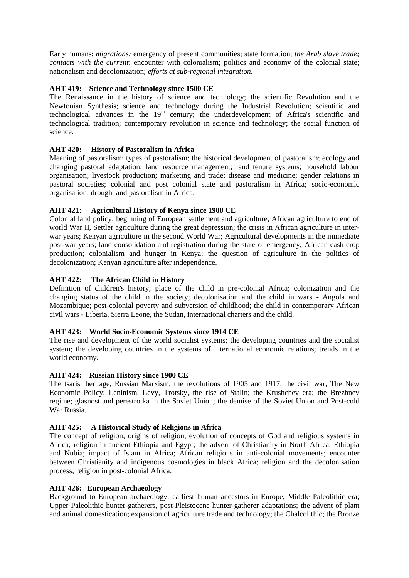Early humans; *migrations;* emergency of present communities; state formation; *the Arab slave trade; contacts with the current*; encounter with colonialism; politics and economy of the colonial state; nationalism and decolonization; *efforts at sub-regional integration.*

## **AHT 419: Science and Technology since 1500 CE**

The Renaissance in the history of science and technology; the scientific Revolution and the Newtonian Synthesis; science and technology during the Industrial Revolution; scientific and technological advances in the  $19<sup>th</sup>$  century; the underdevelopment of Africa's scientific and technological tradition; contemporary revolution in science and technology; the social function of science.

### **AHT 420: History of Pastoralism in Africa**

Meaning of pastoralism; types of pastoralism; the historical development of pastoralism; ecology and changing pastoral adaptation; land resource management; land tenure systems; household labour organisation; livestock production; marketing and trade; disease and medicine; gender relations in pastoral societies; colonial and post colonial state and pastoralism in Africa; socio-economic organisation; drought and pastoralism in Africa.

### **AHT 421: Agricultural History of Kenya since 1900 CE**

Colonial land policy; beginning of European settlement and agriculture; African agriculture to end of world War II, Settler agriculture during the great depression; the crisis in African agriculture in interwar years; Kenyan agriculture in the second World War; Agricultural developments in the immediate post-war years; land consolidation and registration during the state of emergency; African cash crop production; colonialism and hunger in Kenya; the question of agriculture in the politics of decolonization; Kenyan agriculture after independence.

### **AHT 422: The African Child in History**

Definition of children's history; place of the child in pre-colonial Africa; colonization and the changing status of the child in the society; decolonisation and the child in wars - Angola and Mozambique; post-colonial poverty and subversion of childhood; the child in contemporary African civil wars - Liberia, Sierra Leone, the Sudan, international charters and the child.

#### **AHT 423: World Socio-Economic Systems since 1914 CE**

The rise and development of the world socialist systems; the developing countries and the socialist system; the developing countries in the systems of international economic relations; trends in the world economy.

#### **AHT 424: Russian History since 1900 CE**

The tsarist heritage, Russian Marxism; the revolutions of 1905 and 1917; the civil war, The New Economic Policy; Leninism, Levy, Trotsky, the rise of Stalin; the Krushchev era; the Brezhnev regime; glasnost and perestroika in the Soviet Union; the demise of the Soviet Union and Post-cold War Russia*.*

#### **AHT 425: A Historical Study of Religions in Africa**

The concept of religion; origins of religion; evolution of concepts of God and religious systems in Africa; religion in ancient Ethiopia and Egypt; the advent of Christianity in North Africa, Ethiopia and Nubia; impact of Islam in Africa; African religions in anti-colonial movements; encounter between Christianity and indigenous cosmologies in black Africa; religion and the decolonisation process; religion in post-colonial Africa.

#### **AHT 426: European Archaeology**

Background to European archaeology; earliest human ancestors in Europe; Middle Paleolithic era; Upper Paleolithic hunter-gatherers, post-Pleistocene hunter-gatherer adaptations; the advent of plant and animal domestication; expansion of agriculture trade and technology; the Chalcolithic; the Bronze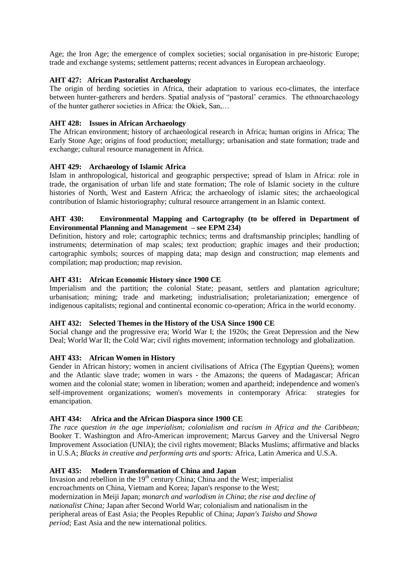Age; the Iron Age; the emergence of complex societies; social organisation in pre-historic Europe; trade and exchange systems; settlement patterns; recent advances in European archaeology.

## **AHT 427: African Pastoralist Archaeology**

The origin of herding societies in Africa, their adaptation to various eco-climates, the interface between hunter-gatherers and herders. Spatial analysis of "pastoral' ceramics. The ethnoarchaeology of the hunter gatherer societies in Africa: the Okiek, San,…

### **AHT 428: Issues in African Archaeology**

The African environment; history of archaeological research in Africa; human origins in Africa; The Early Stone Age; origins of food production; metallurgy; urbanisation and state formation; trade and exchange; cultural resource management in Africa.

### **AHT 429: Archaeology of Islamic Africa**

Islam in anthropological, historical and geographic perspective; spread of Islam in Africa: role in trade, the organisation of urban life and state formation; The role of Islamic society in the culture histories of North, West and Eastern Africa; the archaeology of islamic sites; the archaeological contribution of Islamic historiography; cultural resource arrangement in an Islamic context.

### **AHT 430: Environmental Mapping and Cartography (to be offered in Department of Environmental Planning and Management – see EPM 234)**

Definition, history and role; cartographic technics; terms and draftsmanship principles; handling of instruments; determination of map scales; text production; graphic images and their production; cartographic symbols; sources of mapping data; map design and construction; map elements and compilation; map production; map revision.

### **AHT 431: African Economic History since 1900 CE**

Imperialism and the partition; the colonial State; peasant, settlers and plantation agriculture; urbanisation; mining; trade and marketing; industrialisation; proletarianization; emergence of indigenous capitalists; regional and continental economic co-operation; Africa in the world economy.

#### **AHT 432: Selected Themes in the History of the USA Since 1900 CE**

Social change and the progressive era; World War I; the 1920s; the Great Depression and the New Deal; World War II; the Cold War; civil rights movement; information technology and globalization.

#### **AHT 433: African Women in History**

Gender in African history; women in ancient civilisations of Africa (The Egyptian Queens); women and the Atlantic slave trade; women in wars - the Amazons; the queens of Madagascar; African women and the colonial state; women in liberation; women and apartheid; independence and women's self-improvement organizations; women's movements in contemporary Africa: strategies for emancipation*.*

## **AHT 434: Africa and the African Diaspora since 1900 CE**

*The race question in the age imperialism; colonialism and racism in Africa and the Caribbean;* Booker T. Washington and Afro-American improvement; Marcus Garvey and the Universal Negro Improvement Association (UNIA); the civil rights movement; Blacks Muslims; affirmative and blacks in U.S.A; *Blacks in creative and performing arts and sports:* Africa, Latin America and U.S.A.

#### **AHT 435: Modern Transformation of China and Japan**

Invasion and rebellion in the  $19<sup>th</sup>$  century China; China and the West; imperialist encroachments on China, Vietnam and Korea; Japan's response to the West; modernization in Meiji Japan; *monarch and warlodism in China*; *the rise and decline of nationalist China;* Japan after Second World War; colonialism and nationalism in the peripheral areas of East Asia; the Peoples Republic of China; *Japan's Taisho and Showa period;* East Asia and the new international politics.